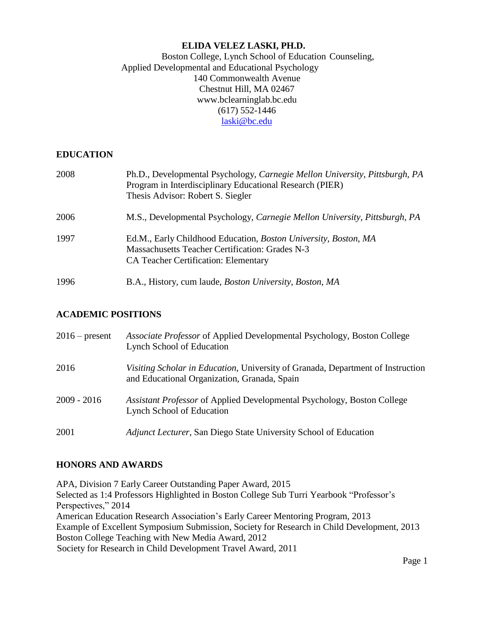## **ELIDA VELEZ LASKI, PH.D.**

## Boston College, Lynch School of Education Counseling, Applied Developmental and Educational Psychology 140 Commonwealth Avenue Chestnut Hill, MA 0246[7](http://www.bclearninglab.bc.edu/) [www.bclearninglab.bc.edu](http://www.bclearninglab.bc.edu/) (617) 552-1446 [laski@bc.edu](mailto:laski@bc.edu)

#### **EDUCATION**

| 2008 | Ph.D., Developmental Psychology, Carnegie Mellon University, Pittsburgh, PA<br>Program in Interdisciplinary Educational Research (PIER)<br>Thesis Advisor: Robert S. Siegler |
|------|------------------------------------------------------------------------------------------------------------------------------------------------------------------------------|
| 2006 | M.S., Developmental Psychology, <i>Carnegie Mellon University</i> , <i>Pittsburgh</i> , <i>PA</i>                                                                            |
| 1997 | Ed.M., Early Childhood Education, Boston University, Boston, MA<br>Massachusetts Teacher Certification: Grades N-3<br><b>CA Teacher Certification: Elementary</b>            |
| 1996 | B.A., History, cum laude, Boston University, Boston, MA                                                                                                                      |

## **ACADEMIC POSITIONS**

| $2016$ – present | <i>Associate Professor</i> of Applied Developmental Psychology, Boston College<br><b>Lynch School of Education</b>              |
|------------------|---------------------------------------------------------------------------------------------------------------------------------|
| 2016             | Visiting Scholar in Education, University of Granada, Department of Instruction<br>and Educational Organization, Granada, Spain |
| $2009 - 2016$    | Assistant Professor of Applied Developmental Psychology, Boston College<br><b>Lynch School of Education</b>                     |
| 2001             | Adjunct Lecturer, San Diego State University School of Education                                                                |

## **HONORS AND AWARDS**

<span id="page-0-0"></span>APA, Division 7 Early Career Outstanding Paper Award, 2015 Selected as 1:4 Professors Highlighted in Boston College Sub Turri Yearbook "Professor's Perspectives," 2014 American Education Research Association's Early Career Mentoring Program, 2013 Example of Excellent Symposium Submission, Society for Research in Child Development, 2013 Boston College Teaching with New Media Award, 2012 Society for Research in Child Development Travel Award, 2011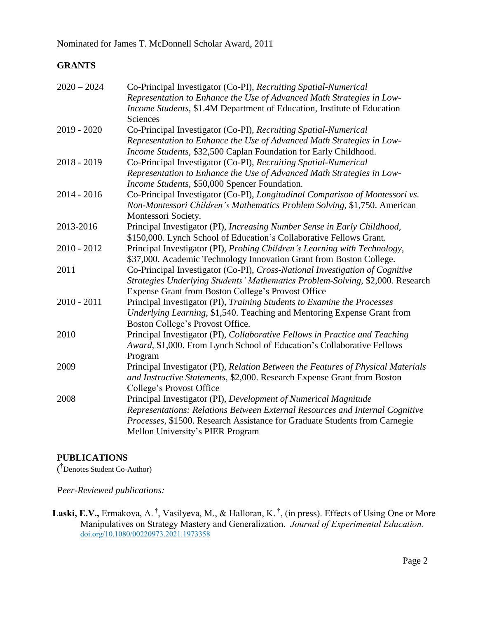# **GRANTS**

| $2020 - 2024$ | Co-Principal Investigator (Co-PI), Recruiting Spatial-Numerical                  |
|---------------|----------------------------------------------------------------------------------|
|               | Representation to Enhance the Use of Advanced Math Strategies in Low-            |
|               | Income Students, \$1.4M Department of Education, Institute of Education          |
|               | Sciences                                                                         |
| 2019 - 2020   | Co-Principal Investigator (Co-PI), Recruiting Spatial-Numerical                  |
|               | Representation to Enhance the Use of Advanced Math Strategies in Low-            |
|               | Income Students, \$32,500 Caplan Foundation for Early Childhood.                 |
| 2018 - 2019   | Co-Principal Investigator (Co-PI), Recruiting Spatial-Numerical                  |
|               | Representation to Enhance the Use of Advanced Math Strategies in Low-            |
|               | Income Students, \$50,000 Spencer Foundation.                                    |
| 2014 - 2016   | Co-Principal Investigator (Co-PI), Longitudinal Comparison of Montessori vs.     |
|               | Non-Montessori Children's Mathematics Problem Solving, \$1,750. American         |
|               | Montessori Society.                                                              |
| 2013-2016     | Principal Investigator (PI), Increasing Number Sense in Early Childhood,         |
|               | \$150,000. Lynch School of Education's Collaborative Fellows Grant.              |
| 2010 - 2012   | Principal Investigator (PI), Probing Children's Learning with Technology,        |
|               | \$37,000. Academic Technology Innovation Grant from Boston College.              |
| 2011          | Co-Principal Investigator (Co-PI), Cross-National Investigation of Cognitive     |
|               | Strategies Underlying Students' Mathematics Problem-Solving, \$2,000. Research   |
|               | Expense Grant from Boston College's Provost Office                               |
| $2010 - 2011$ | Principal Investigator (PI), Training Students to Examine the Processes          |
|               | Underlying Learning, \$1,540. Teaching and Mentoring Expense Grant from          |
|               | Boston College's Provost Office.                                                 |
| 2010          | Principal Investigator (PI), Collaborative Fellows in Practice and Teaching      |
|               | Award, \$1,000. From Lynch School of Education's Collaborative Fellows           |
|               | Program                                                                          |
| 2009          | Principal Investigator (PI), Relation Between the Features of Physical Materials |
|               | and Instructive Statements, \$2,000. Research Expense Grant from Boston          |
|               | College's Provost Office                                                         |
| 2008          | Principal Investigator (PI), Development of Numerical Magnitude                  |
|               | Representations: Relations Between External Resources and Internal Cognitive     |
|               | Processes, \$1500. Research Assistance for Graduate Students from Carnegie       |
|               | Mellon University's PIER Program                                                 |
|               |                                                                                  |

# **PUBLICATIONS**

( [†](#page-0-0) Denotes Student Co-Author)

*Peer-Reviewed publications:*

Laski, E.V., Ermakova, A. <sup>†</sup>, Vasilyeva, M., & Halloran, K. <sup>†</sup>, (in press). Effects of Using One or More Manipulatives on Strategy Mastery and Generalization. *Journal of Experimental Education.* [doi.org/10.1080/00220973.2021.1973358](https://doi.org/10.1080/00220973.2021.1973358)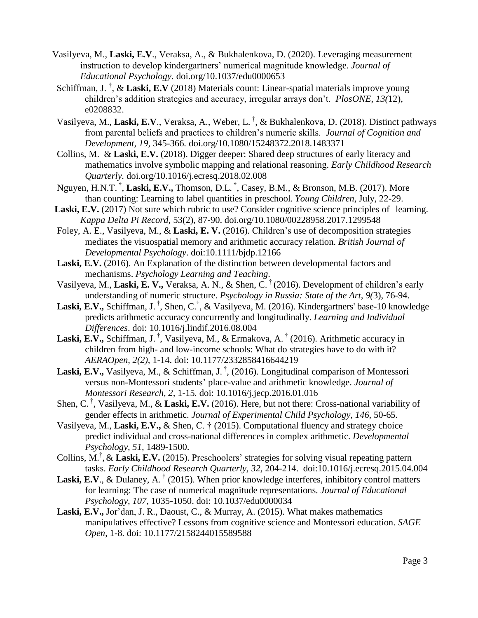- Vasilyeva, M., **Laski, E.V**., Veraksa, A., & Bukhalenkova, D. (2020). Leveraging measurement instruction to develop kindergartners' numerical magnitude knowledge. *Journal of Educational Psychology*. [doi.org/10.1037/edu0000653](https://psycnet.apa.org/doi/10.1037/edu0000653)
- Schiffman, J.<sup>†</sup>, & Laski, E.V (2018) Materials count: Linear-spatial materials improve young children's addition strategies and accuracy, irregular arrays don't. *PlosONE*, *13(*12), e0208832.
- Vasilyeva, M., **Laski, E.V**., Veraksa, A., Weber, L. † , & Bukhalenkova, D. (2018). Distinct pathways from parental beliefs and practices to children's numeric skills. *Journal of Cognition and Development, 19,* 345-366*.* doi.org/10.1080/15248372.2018.1483371
- Collins, M. & **Laski, E.V.** (2018). Digger deeper: Shared deep structures of early literacy and mathematics involve symbolic mapping and relational reasoning. *Early Childhood Research Quarterly.* [doi.org/10.1016/j.ecresq.2018.02.008](https://doi.org/10.1016/j.ecresq.2018.02.008)
- Nguyen, H.N.T. † , **Laski, E.V.,** Thomson, D.L. † , Casey, B.M., & Bronson, M.B. (2017). More than counting: Learning to label quantities in preschool. *Young Children*, July, 22-29.
- Laski, E.V. (2017) Not sure which rubric to use? Consider cognitive science principles of learning. *Kappa Delta Pi Record*, 53(2), 87-90. [doi.org/10.1080/00228958.2017.1299548](http://dx.doi.org/10.1080/00228958.2017.1299548)
- Foley, A. E., Vasilyeva, M., & **Laski, E. V.** (2016). Children's use of decomposition strategies mediates the visuospatial memory and arithmetic accuracy relation. *British Journal of Developmental Psychology*. doi:10.1111/bjdp.12166
- **Laski, E.V.** (2016). An Explanation of the distinction between developmental factors and mechanisms. *Psychology Learning and Teaching*.
- Vasilyeva, M., **Laski, E. V.,** Veraksa, A. N., & Shen, C. † (2016). Development of children's early understanding of numeric structure. *Psychology in Russia: State of the Art, 9(*3), 76-94.
- Laski, E.V., Schiffman, J.<sup>†</sup>, Shen, C.<sup>†</sup>, & Vasilyeva, M. (2016). Kindergartners' base-10 knowledge predicts arithmetic accuracy concurrently and longitudinally. *Learning and Individual Differences*. [doi: 10.1016/j.lindif.2016.08.004](http://dx.doi.org/10.1016/j.lindif.2016.08.004)
- Laski, E.V., Schiffman, J.<sup>†</sup>, Vasilyeva, M., & Ermakova, A.<sup>†</sup> (2016). Arithmetic accuracy in children from high- and low-income schools: What do strategies have to do with it? *AERAOpen, 2(2),* 1-14. doi: 10.1177/2332858416644219
- Laski, E.V., Vasilyeva, M., & Schiffman, J.<sup>†</sup>, (2016). Longitudinal comparison of Montessori versus non-Montessori students' place-value and arithmetic knowledge. *Journal of Montessori Research, 2,* 1-15*.* doi: 10.1016/j.jecp.2016.01.016
- Shen, C. † , Vasilyeva, M., & **Laski, E.V.** (2016). Here, but not there: Cross-national variability of gender effects in arithmetic. *Journal of Experimental Child Psychology, 146,* 50-65*.*
- Vasilyeva, M., **Laski, E.V.,** & Shen, C. † (2015). Computational fluency and strategy choice predict individual and cross-national differences in complex arithmetic. *Developmental Psychology, 51,* 1489-1500.
- Collins, M.<sup>†</sup>, & Laski, E.V. (2015). Preschoolers' strategies for solving visual repeating pattern tasks. *Early Childhood Research Quarterly, 32,* 204[-214. doi:10.1016/j.ecresq.2015.04.004](http://dx.doi.org/10.1016/j.ecresq.2015.04.004)
- Laski, E.V., & Dulaney, A.<sup>†</sup> (2015). When prior knowledge interferes, inhibitory control matters for learning: The case of numerical magnitude representations. *Journal of Educational Psychology, 107,* 1035-[1050. doi: 10.1037/edu0000034](http://psycnet.apa.org/doi/10.1037/edu0000034)
- **Laski, E.V.,** Jor'dan, J. R., Daoust, C., & Murray, A. (2015). What makes mathematics manipulatives effective? Lessons from cognitive science and Montessori education. *SAGE Open*, 1-8. doi: 10.1177/2158244015589588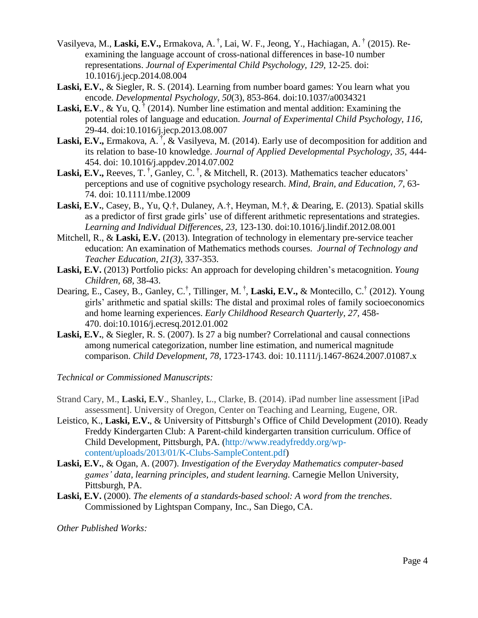- Vasilyeva, M., Laski, E.V., Ermakova, A.<sup>†</sup>, Lai, W. F., Jeong, Y., Hachiagan, A.<sup>†</sup> (2015). Reexamining the language account of cross-national differences in base-10 number representations. *Journal of Experimental Child Psychology, 129,* 12-25. doi: 10.1016/j.jecp.2014.08.004
- **Laski, E.V.**, & Siegler, R. S. (2014). Learning from number board games: You learn what you encode. *Developmental Psychology, 50*(3), 853-864. doi:10.1037/a0034321
- **Laski, E.V., & Yu, Q.**  $^{\dagger}$  (2014). Number line estimation and mental addition: Examining the potential roles of language and education. *Journal of Experimental Child Psychology, 116,* 29-44. [doi:10.1016/j.jecp.2013.08.007](http://dx.doi.org/10.1016/j.jecp.2013.08.007)
- Laski, E.V., Ermakova, A.<sup>†</sup>, & Vasilyeva, M. (2014). Early use of decomposition for addition and its relation to base-10 knowledge. *Journal of Applied Developmental Psychology, 35,* 444- 454. doi: 10.1016/j.appdev.2014.07.002
- Laski, E.V., Reeves, T.<sup>†</sup>, Ganley, C.<sup>†</sup>, & Mitchell, R. (2013). Mathematics teacher educators' perceptions and use of cognitive psychology research. *Mind, Brain, and Education, 7,* 63- 74. doi: 10.1111/mbe.12009
- **Laski, E.V.**, Casey, B., Yu, Q.†, Dulaney, A.†, Heyman, M.†, & Dearing, E. (2013). Spatial skills as a predictor of first grade girls' use of different arithmetic representations and strategies. *Learning and Individual Differences, 23,* 123-130. [doi:10.1016/j.lindif.2012.08.001](http://dx.doi.org/10.1016/j.lindif.2012.08.001)
- Mitchell, R., & **Laski, E.V.** (2013). Integration of technology in elementary pre-service teacher education: An examination of Mathematics methods courses. *Journal of Technology and Teacher Education*, *21(3)*, 337-353.
- **Laski, E.V.** (2013) Portfolio picks: An approach for developing children's metacognition. *Young Children, 68,* 38-43.
- Dearing, E., Casey, B., Ganley, C.<sup>†</sup>, Tillinger, M.<sup>†</sup>, Laski, E.V., & Montecillo, C.<sup>†</sup> (2012). Young girls' arithmetic and spatial skills: The distal and proximal roles of family socioeconomics and home learning experiences. *Early Childhood Research Quarterly, 27,* 458- [470. doi:10.1016/j.ecresq.2012.01.002](http://dx.doi.org/10.1016/j.ecresq.2012.01.002)
- **Laski, E.V.**, & Siegler, R. S. (2007). Is 27 a big number? Correlational and causal connections among numerical categorization, number line estimation, and numerical magnitude comparison. *Child Development*, *78*, 1723-1743. doi: 10.1111/j.1467-8624.2007.01087.x

*Technical or Commissioned Manuscripts:*

- Strand Cary, M., **Laski, E.V**., Shanley, L., Clarke, B. (2014). iPad number line assessment [iPad assessment]. University of Oregon, Center on Teaching and Learning, Eugene, OR.
- Leistico, K., **Laski, E.V.**, & University of Pittsburgh's Office of Child Development (2010). Ready Freddy Kindergarten Club: A Parent-child kindergarten transition curriculum. Office of Child Development, Pittsburgh, PA. [\(http://www.readyfreddy.org/wp](http://www.readyfreddy.org/wp-content/uploads/2013/01/K-Clubs-SampleContent.pdf)[content/uploads/2013/01/K-Clubs-SampleContent.pdf\)](http://www.readyfreddy.org/wp-content/uploads/2013/01/K-Clubs-SampleContent.pdf)
- **Laski, E.V.**, & Ogan, A. (2007). *Investigation of the Everyday Mathematics computer-based games' data, learning principles, and student learning.* Carnegie Mellon University, Pittsburgh, PA.
- **Laski, E.V.** (2000). *The elements of a standards-based school: A word from the trenches*. Commissioned by Lightspan Company, Inc., San Diego, CA.

*Other Published Works:*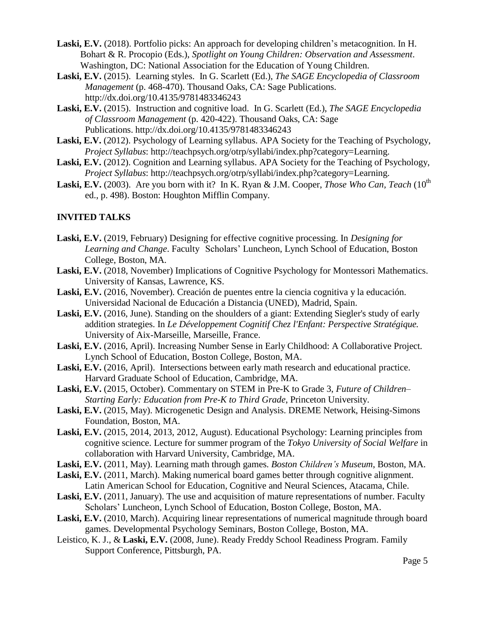- **Laski, E.V.** (2018). Portfolio picks: An approach for developing children's metacognition. In H. Bohart & R. Procopio (Eds.), *Spotlight on Young Children: Observation and Assessment*. Washington, DC: National Association for the Education of Young Children.
- **Laski, E.V.** (2015). Learning styles. In G. Scarlett (Ed.), *The SAGE Encyclopedia of Classroom Management* (p. 468-470). Thousand Oaks, CA: Sage Publications[.](http://dx.doi.org/10.4135/9781483346243) <http://dx.doi.org/10.4135/9781483346243>
- **Laski, E.V.** (2015). Instruction and cognitive load. In G. Scarlett (Ed.), *The SAGE Encyclopedia of Classroom Management* (p. 420-422). Thousand Oaks, CA: Sage Publications. <http://dx.doi.org/10.4135/9781483346243>
- **Laski, E.V.** (2012). Psychology of Learning syllabus. APA Society for the Teaching of Psychology, *Project Syllabus*: [http://teachpsych.org/otrp/syllabi/index.php?category=Learning.](https://email.bc.edu/owa/redir.aspx?C=WsU_-VPTpk-JV9EBzucDcy2WU1KZY88IhypKnlltxorKAcY10rboc96Ws6EZax_TXwwiTnCDGSw.&URL=http%3a%2f%2fteachpsych.org%2fotrp%2fsyllabi%2findex.php%3fcategory%3dLearning)
- **Laski, E.V.** (2012). Cognition and Learning syllabus. APA Society for the Teaching of Psychology, *Project Syllabus*: [http://teachpsych.org/otrp/syllabi/index.php?category=Learning.](https://email.bc.edu/owa/redir.aspx?C=WsU_-VPTpk-JV9EBzucDcy2WU1KZY88IhypKnlltxorKAcY10rboc96Ws6EZax_TXwwiTnCDGSw.&URL=http%3a%2f%2fteachpsych.org%2fotrp%2fsyllabi%2findex.php%3fcategory%3dLearning)
- **Laski, E.V.** (2003). Are you born with it? In K. Ryan & J.M. Cooper, *Those Who Can, Teach* (10<sup>th</sup>) ed., p. 498). Boston: Houghton Mifflin Company.

# **INVITED TALKS**

- **Laski, E.V.** (2019, February) Designing for effective cognitive processing. In *Designing for Learning and Change*. Faculty Scholars' Luncheon, Lynch School of Education, Boston College, Boston, MA.
- Laski, E.V. (2018, November) Implications of Cognitive Psychology for Montessori Mathematics. University of Kansas, Lawrence, KS.
- Laski, E.V. (2016, November). Creación de puentes entre la ciencia cognitiva y la educación. Universidad Nacional de Educación a Distancia (UNED), Madrid, Spain.
- **Laski, E.V.** (2016, June). Standing on the shoulders of a giant: Extending Siegler's study of early addition strategies. In *Le Développement Cognitif Chez l'Enfant: Perspective Stratégique.* University of Aix-Marseille, Marseille, France.
- **Laski, E.V.** (2016, April). Increasing Number Sense in Early Childhood: A Collaborative Project. Lynch School of Education, Boston College, Boston, MA.
- Laski, E.V. (2016, April). Intersections between early math research and educational practice. Harvard Graduate School of Education, Cambridge, MA.
- **Laski, E.V.** (2015, October). Commentary on STEM in Pre-K to Grade 3, *Future of Children– Starting Early: Education from Pre-K to Third Grade*, Princeton University.
- **Laski, E.V.** (2015, May). Microgenetic Design and Analysis. DREME Network, Heising-Simons Foundation, Boston, MA.
- **Laski, E.V.** (2015, 2014, 2013, 2012, August). Educational Psychology: Learning principles from cognitive science. Lecture for summer program of the *Tokyo University of Social Welfare* in collaboration with Harvard University, Cambridge, MA.
- **Laski, E.V.** (2011, May). Learning math through games. *Boston Children's Museum*, Boston, MA.
- Laski, E.V. (2011, March). Making numerical board games better through cognitive alignment. Latin American School for Education, Cognitive and Neural Sciences, Atacama, Chile.
- Laski, E.V. (2011, January). The use and acquisition of mature representations of number. Faculty Scholars' Luncheon, Lynch School of Education, Boston College, Boston, MA.
- **Laski, E.V.** (2010, March). Acquiring linear representations of numerical magnitude through board games. Developmental Psychology Seminars, Boston College, Boston, MA.
- Leistico, K. J., & **Laski, E.V.** (2008, June). Ready Freddy School Readiness Program. Family Support Conference, Pittsburgh, PA.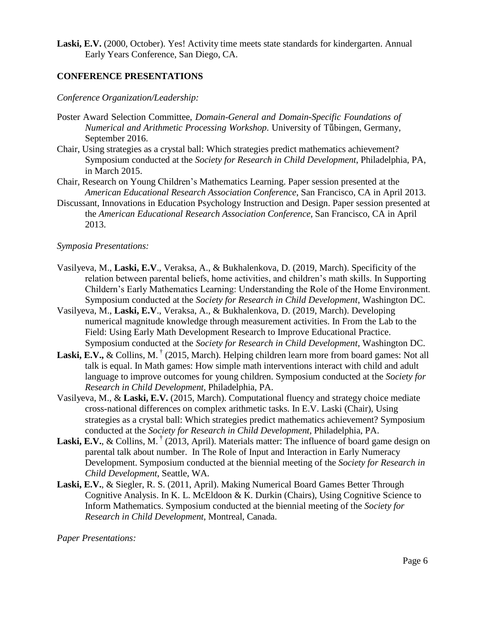Laski, E.V. (2000, October). Yes! Activity time meets state standards for kindergarten. Annual Early Years Conference, San Diego, CA.

## **CONFERENCE PRESENTATIONS**

#### *Conference Organization/Leadership:*

- Poster Award Selection Committee, *Domain-General and Domain-Specific Foundations of Numerical and Arithmetic Processing Workshop*. University of Tṻbingen, Germany, September 2016.
- Chair, Using strategies as a crystal ball: Which strategies predict mathematics achievement? Symposium conducted at the *Society for Research in Child Development*, Philadelphia, PA, in March 2015.
- Chair, Research on Young Children's Mathematics Learning. Paper session presented at the *American Educational Research Association Conference*, San Francisco, CA in April 2013.
- Discussant, Innovations in Education Psychology Instruction and Design. Paper session presented at the *American Educational Research Association Conference*, San Francisco, CA in April 2013.

#### *Symposia Presentations:*

- Vasilyeva, M., **Laski, E.V**., Veraksa, A., & Bukhalenkova, D. (2019, March). Specificity of the relation between parental beliefs, home activities, and children's math skills. In Supporting Childern's Early Mathematics Learning: Understanding the Role of the Home Environment. Symposium conducted at the *Society for Research in Child Development*, Washington DC.
- Vasilyeva, M., **Laski, E.V**., Veraksa, A., & Bukhalenkova, D. (2019, March). Developing numerical magnitude knowledge through measurement activities. In From the Lab to the Field: Using Early Math Development Research to Improve Educational Practice. Symposium conducted at the *Society for Research in Child Development*, Washington DC.
- Laski, E.V., & Collins, M. <sup>†</sup> (2015, March). Helping children learn more from board games: Not all talk is equal. In Math games: How simple math interventions interact with child and adult language to improve outcomes for young children. Symposium conducted at the *Society for Research in Child Development*, Philadelphia, PA.
- Vasilyeva, M., & **Laski, E.V.** (2015, March). Computational fluency and strategy choice mediate cross-national differences on complex arithmetic tasks. In E.V. Laski (Chair), Using strategies as a crystal ball: Which strategies predict mathematics achievement? Symposium conducted at the *Society for Research in Child Development*, Philadelphia, PA.
- Laski, E.V., & Collins, M. <sup>†</sup> (2013, April). Materials matter: The influence of board game design on parental talk about number. In The Role of Input and Interaction in Early Numeracy Development. Symposium conducted at the biennial meeting of the *Society for Research in Child Development*, Seattle, WA.
- **Laski, E.V.**, & Siegler, R. S. (2011, April). Making Numerical Board Games Better Through Cognitive Analysis. In K. L. McEldoon & K. Durkin (Chairs), Using Cognitive Science to Inform Mathematics. Symposium conducted at the biennial meeting of the *Society for Research in Child Development*, Montreal, Canada.

*Paper Presentations:*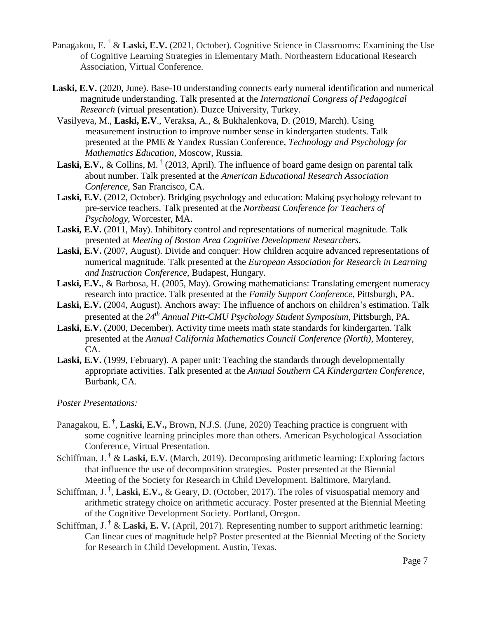- Panagakou, E.<sup>†</sup> & Laski, E.V. (2021, October). Cognitive Science in Classrooms: Examining the Use of Cognitive Learning Strategies in Elementary Math. Northeastern Educational Research Association, Virtual Conference.
- **Laski, E.V.** (2020, June). Base-10 understanding connects early numeral identification and numerical magnitude understanding. Talk presented at the *International Congress of Pedagogical Research* (virtual presentation). Duzce University, Turkey.
- Vasilyeva, M., **Laski, E.V**., Veraksa, A., & Bukhalenkova, D. (2019, March). Using measurement instruction to improve number sense in kindergarten students. Talk presented at the PME & Yandex Russian Conference, *Technology and Psychology for Mathematics Education*, Moscow, Russia.
- Laski, E.V., & Collins, M.<sup>†</sup> (2013, April). The influence of board game design on parental talk about number. Talk presented at the *American Educational Research Association Conference*, San Francisco, CA.
- **Laski, E.V.** (2012, October). Bridging psychology and education: Making psychology relevant to pre-service teachers. Talk presented at the *Northeast Conference for Teachers of Psychology*, Worcester, MA.
- **Laski, E.V.** (2011, May). Inhibitory control and representations of numerical magnitude. Talk presented at *Meeting of Boston Area Cognitive Development Researchers*.
- Laski, E.V. (2007, August). Divide and conquer: How children acquire advanced representations of numerical magnitude. Talk presented at the *European Association for Research in Learning and Instruction Conference*, Budapest, Hungary.
- **Laski, E.V.**, & Barbosa, H. (2005, May). Growing mathematicians: Translating emergent numeracy research into practice. Talk presented at the *Family Support Conference*, Pittsburgh, PA.
- **Laski, E.V.** (2004, August). Anchors away: The influence of anchors on children's estimation. Talk presented at the *24th Annual Pitt-CMU Psychology Student Symposium*, Pittsburgh, PA.
- **Laski, E.V.** (2000, December). Activity time meets math state standards for kindergarten. Talk presented at the *Annual California Mathematics Council Conference (North)*, Monterey, CA.
- **Laski, E.V.** (1999, February). A paper unit: Teaching the standards through developmentally appropriate activities. Talk presented at the *Annual Southern CA Kindergarten Conference*, Burbank, CA.

## *Poster Presentations:*

- Panagakou, E.<sup>†</sup>, Laski, E.V., Brown, N.J.S. (June, 2020) Teaching practice is congruent with some cognitive learning principles more than others. American Psychological Association Conference, Virtual Presentation.
- Schiffman, J. † & **Laski, E.V.** (March, 2019). Decomposing arithmetic learning: Exploring factors that influence the use of decomposition strategies. Poster presented at the Biennial Meeting of the Society for Research in Child Development. Baltimore, Maryland.
- Schiffman, J.<sup>†</sup>, Laski, E.V., & Geary, D. (October, 2017). The roles of visuospatial memory and arithmetic strategy choice on arithmetic accuracy. Poster presented at the Biennial Meeting of the Cognitive Development Society. Portland, Oregon.
- Schiffman, J. † & **Laski, E. V.** (April, 2017). Representing number to support arithmetic learning: Can linear cues of magnitude help? Poster presented at the Biennial Meeting of the Society for Research in Child Development. Austin, Texas.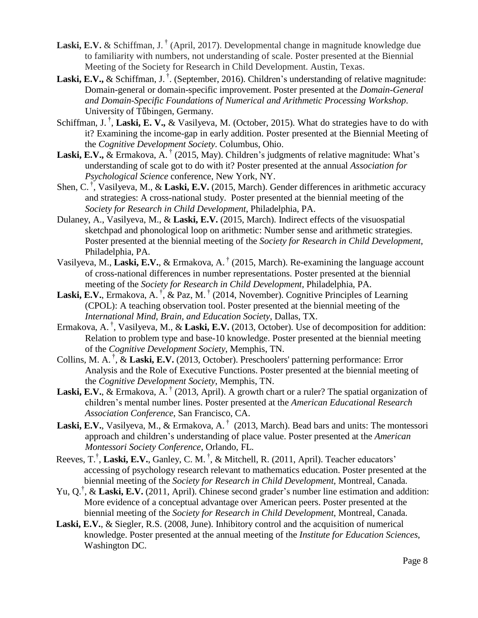- Laski, E.V. & Schiffman, J.<sup>†</sup> (April, 2017). Developmental change in magnitude knowledge due to familiarity with numbers, not understanding of scale. Poster presented at the Biennial Meeting of the Society for Research in Child Development. Austin, Texas.
- Laski, E.V., & Schiffman, J.<sup>†</sup>. (September, 2016). Children's understanding of relative magnitude: Domain-general or domain-specific improvement. Poster presented at the *Domain-General and Domain-Specific Foundations of Numerical and Arithmetic Processing Workshop*. University of Tübingen, Germany.
- Schiffman, J.<sup>†</sup>, Laski, E. V., & Vasilyeva, M. (October, 2015). What do strategies have to do with it? Examining the income-gap in early addition. Poster presented at the Biennial Meeting of the *Cognitive Development Society*. Columbus, Ohio.
- Laski, E.V., & Ermakova, A.<sup>†</sup> (2015, May). Children's judgments of relative magnitude: What's understanding of scale got to do with it? Poster presented at the annual *Association for Psychological Science* conference, New York, NY.
- Shen, C. † , Vasilyeva, M., & **Laski, E.V.** (2015, March). Gender differences in arithmetic accuracy and strategies: A cross-national study. Poster presented at the biennial meeting of the *Society for Research in Child Development*, Philadelphia, PA.
- Dulaney, A., Vasilyeva, M., & **Laski, E.V.** (2015, March). Indirect effects of the visuospatial sketchpad and phonological loop on arithmetic: Number sense and arithmetic strategies. Poster presented at the biennial meeting of the *Society for Research in Child Development*, Philadelphia, PA.
- Vasilyeva, M., **Laski, E.V.**, & Ermakova, A. † (2015, March). Re-examining the language account of cross-national differences in number representations. Poster presented at the biennial meeting of the *Society for Research in Child Development*, Philadelphia, PA.
- Laski, E.V., Ermakova, A.<sup>†</sup>, & Paz, M.<sup>†</sup> (2014, November). Cognitive Principles of Learning (CPOL): A teaching observation tool. Poster presented at the biennial meeting of the *International Mind, Brain, and Education Society*, Dallas, TX.
- Ermakova, A. † , Vasilyeva, M., & **Laski, E.V.** (2013, October). Use of decomposition for addition: Relation to problem type and base-10 knowledge. Poster presented at the biennial meeting of the *Cognitive Development Society*, Memphis, TN.
- Collins, M. A. † , & **Laski, E.V.** (2013, October). Preschoolers' patterning performance: Error Analysis and the Role of Executive Functions. Poster presented at the biennial meeting of the *Cognitive Development Society*, Memphis, TN.
- Laski, E.V., & Ermakova, A.<sup>†</sup> (2013, April). A growth chart or a ruler? The spatial organization of children's mental number lines. Poster presented at the *American Educational Research Association Conference*, San Francisco, CA.
- Laski, E.V., Vasilyeva, M., & Ermakova, A.<sup>†</sup> (2013, March). Bead bars and units: The montessori approach and children's understanding of place value. Poster presented at the *American Montessori Society Conference*, Orlando, FL.
- Reeves, T.<sup>†</sup>, Laski, E.V., Ganley, C. M.<sup>†</sup>, & Mitchell, R. (2011, April). Teacher educators' accessing of psychology research relevant to mathematics education. Poster presented at the biennial meeting of the *Society for Research in Child Development*, Montreal, Canada.
- Yu, Q.<sup>†</sup>, & Laski, E.V. (2011, April). Chinese second grader's number line estimation and addition: More evidence of a conceptual advantage over American peers. Poster presented at the biennial meeting of the *Society for Research in Child Development*, Montreal, Canada.
- **Laski, E.V.**, & Siegler, R.S. (2008, June). Inhibitory control and the acquisition of numerical knowledge. Poster presented at the annual meeting of the *Institute for Education Sciences*, Washington DC.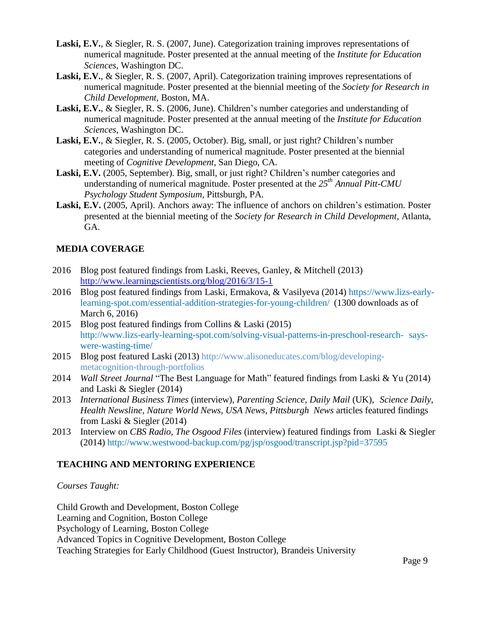- **Laski, E.V.**, & Siegler, R. S. (2007, June). Categorization training improves representations of numerical magnitude. Poster presented at the annual meeting of the *Institute for Education Sciences*, Washington DC.
- **Laski, E.V.**, & Siegler, R. S. (2007, April). Categorization training improves representations of numerical magnitude. Poster presented at the biennial meeting of the *Society for Research in Child Development*, Boston, MA.
- **Laski, E.V.**, & Siegler, R. S. (2006, June). Children's number categories and understanding of numerical magnitude. Poster presented at the annual meeting of the *Institute for Education Sciences*, Washington DC.
- **Laski, E.V.**, & Siegler, R. S. (2005, October). Big, small, or just right? Children's number categories and understanding of numerical magnitude. Poster presented at the biennial meeting of *Cognitive Development*, San Diego, CA.
- Laski, E.V. (2005, September). Big, small, or just right? Children's number categories and understanding of numerical magnitude. Poster presented at the *25th Annual Pitt-CMU Psychology Student Symposium,* Pittsburgh, PA.
- **Laski, E.V.** (2005, April). Anchors away: The influence of anchors on children's estimation. Poster presented at the biennial meeting of the *Society for Research in Child Development*, Atlanta, GA.

# **MEDIA COVERAGE**

- 2016 Blog post featured findings from Laski, Reeves, Ganley, & Mitchell (2013) <http://www.learningscientists.org/blog/2016/3/15-1>
- 2016 Blog post featured findings from Laski, Ermakova, & Vasilyeva (2014) https://www.lizs-earlylearning-spot.com/essential-addition-strategies-for-young-children/ (1300 downloads as of March 6, 2016)
- 2015 Blog post featured findings from Collins & Laski (2015) [http://www.lizs-early-learning-spot.com/solving-visual-patterns-in-preschool-research-](http://www.lizs-early-learning-spot.com/solving-visual-patterns-in-preschool-research-says-were-wasting-time/) [says](http://www.lizs-early-learning-spot.com/solving-visual-patterns-in-preschool-research-says-were-wasting-time/)[were-wasting-time/](http://www.lizs-early-learning-spot.com/solving-visual-patterns-in-preschool-research-says-were-wasting-time/)
- 2015 Blog post featured Laski (2013) [http://www.alisoneducates.com/blog/developing](http://www.alisoneducates.com/blog/developing-metacognition-through-portfolios)[metacognition-through-portfolios](http://www.alisoneducates.com/blog/developing-metacognition-through-portfolios)
- 2014 *Wall Street Journal* "The Best Language for Math" featured findings from Laski & Yu (2014) and Laski & Siegler (2014)
- 2013 *International Business Times* (interview), *Parenting Science*, *Daily Mail* (UK), *Science Daily*, *Health Newsline*, *Nature World News*, *USA News*, *Pittsburgh News* articles featured findings from Laski & Siegler (2014)
- 2013 Interview on *CBS Radio, The Osgood Files* (interview) featured findings from Laski & Siegler (2014) <http://www.westwood-backup.com/pg/jsp/osgood/transcript.jsp?pid=37595>

# **TEACHING AND MENTORING EXPERIENCE**

# *Courses Taught:*

Child Growth and Development, Boston College Learning and Cognition, Boston College Psychology of Learning, Boston College Advanced Topics in Cognitive Development, Boston College Teaching Strategies for Early Childhood (Guest Instructor), Brandeis University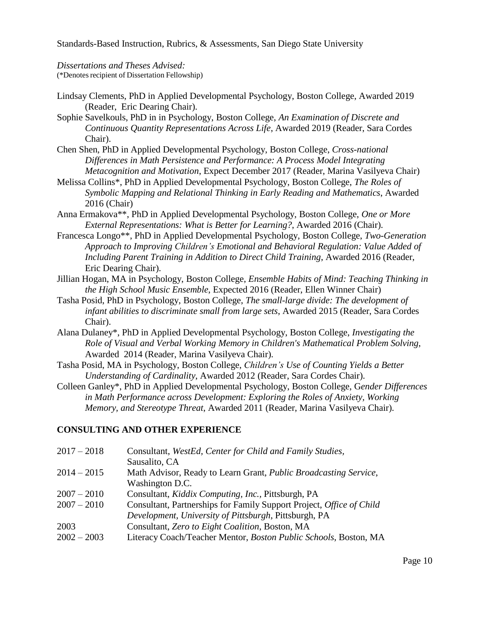Standards-Based Instruction, Rubrics, & Assessments, San Diego State University

*Dissertations and Theses Advised:* (\*Denotes recipient of Dissertation Fellowship)

- Lindsay Clements, PhD in Applied Developmental Psychology, Boston College, Awarded 2019 (Reader, Eric Dearing Chair).
- Sophie Savelkouls, PhD in in Psychology, Boston College, *An Examination of Discrete and Continuous Quantity Representations Across Life*, Awarded 2019 (Reader, Sara Cordes Chair).
- Chen Shen, PhD in Applied Developmental Psychology, Boston College, *Cross-national Differences in Math Persistence and Performance: A Process Model Integrating Metacognition and Motivation*, Expect December 2017 (Reader, Marina Vasilyeva Chair)
- Melissa Collins\*, PhD in Applied Developmental Psychology, Boston College, *The Roles of Symbolic Mapping and Relational Thinking in Early Reading and Mathematics*, Awarded 2016 (Chair)
- Anna Ermakova\*\*, PhD in Applied Developmental Psychology, Boston College, *One or More External Representations: What is Better for Learning?*, Awarded 2016 (Chair).
- Francesca Longo\*\*, PhD in Applied Developmental Psychology, Boston College, *Two-Generation Approach to Improving Children's Emotional and Behavioral Regulation: Value Added of Including Parent Training in Addition to Direct Child Training*, Awarded 2016 (Reader, Eric Dearing Chair).
- Jillian Hogan, MA in Psychology, Boston College, *Ensemble Habits of Mind: Teaching Thinking in the High School Music Ensemble*, Expected 2016 (Reader, Ellen Winner Chair)
- Tasha Posid, PhD in Psychology, Boston College, *The small-large divide: The development of infant abilities to discriminate small from large sets*, Awarded 2015 (Reader, Sara Cordes Chair).
- Alana Dulaney\*, PhD in Applied Developmental Psychology, Boston College, *Investigating the Role of Visual and Verbal Working Memory in Children's Mathematical Problem Solving*, Awarded 2014 (Reader, Marina Vasilyeva Chair).
- Tasha Posid, MA in Psychology, Boston College, *Children's Use of Counting Yields a Better Understanding of Cardinality*, Awarded 2012 (Reader, Sara Cordes Chair).
- Colleen Ganley\*, PhD in Applied Developmental Psychology, Boston College, G*ender Differences in Math Performance across Development: Exploring the Roles of Anxiety, Working Memory, and Stereotype Threat*, Awarded 2011 (Reader, Marina Vasilyeva Chair).

# **CONSULTING AND OTHER EXPERIENCE**

| $2017 - 2018$ | Consultant, WestEd, Center for Child and Family Studies,                 |
|---------------|--------------------------------------------------------------------------|
|               | Sausalito, CA                                                            |
| $2014 - 2015$ | Math Advisor, Ready to Learn Grant, <i>Public Broadcasting Service</i> , |
|               | Washington D.C.                                                          |
| $2007 - 2010$ | Consultant, <i>Kiddix Computing</i> , <i>Inc.</i> , Pittsburgh, PA       |
| $2007 - 2010$ | Consultant, Partnerships for Family Support Project, Office of Child     |
|               | Development, University of Pittsburgh, Pittsburgh, PA                    |
| 2003          | Consultant, Zero to Eight Coalition, Boston, MA                          |
| $2002 - 2003$ | Literacy Coach/Teacher Mentor, Boston Public Schools, Boston, MA         |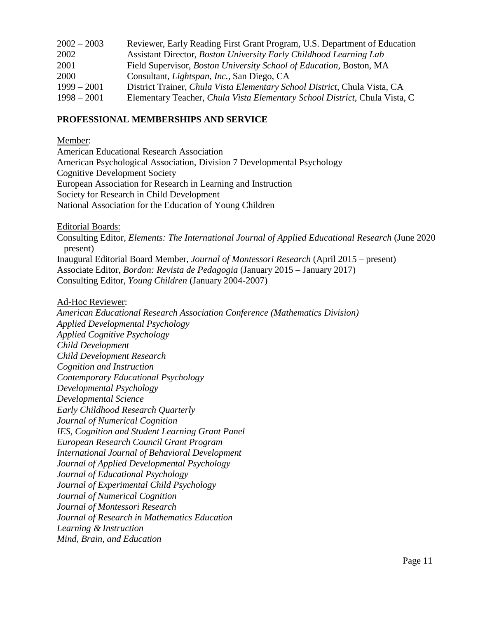| $2002 - 2003$ | Reviewer, Early Reading First Grant Program, U.S. Department of Education   |
|---------------|-----------------------------------------------------------------------------|
| 2002          | Assistant Director, Boston University Early Childhood Learning Lab          |
| 2001          | Field Supervisor, <i>Boston University School of Education</i> , Boston, MA |
| 2000          | Consultant, <i>Lightspan, Inc.</i> , San Diego, CA                          |
| $1999 - 2001$ | District Trainer, Chula Vista Elementary School District, Chula Vista, CA   |
| $1998 - 2001$ | Elementary Teacher, Chula Vista Elementary School District, Chula Vista, C  |
|               |                                                                             |

## **PROFESSIONAL MEMBERSHIPS AND SERVICE**

Member:

American Educational Research Association American Psychological Association, Division 7 Developmental Psychology Cognitive Development Society European Association for Research in Learning and Instruction Society for Research in Child Development National Association for the Education of Young Children

Editorial Boards:

Consulting Editor, *Elements: The International Journal of Applied Educational Research* (June 2020 – present) Inaugural Editorial Board Member, *Journal of Montessori Research* (April 2015 – present) Associate Editor, *Bordon: Revista de Pedagogia* (January 2015 – January 2017) Consulting Editor, *Young Children* (January 2004-2007)

#### Ad-Hoc Reviewer:

*American Educational Research Association Conference (Mathematics Division) Applied Developmental Psychology Applied Cognitive Psychology Child Development Child Development Research Cognition and Instruction Contemporary Educational Psychology Developmental Psychology Developmental Science Early Childhood Research Quarterly Journal of Numerical Cognition IES, Cognition and Student Learning Grant Panel European Research Council Grant Program International Journal of Behavioral Development Journal of Applied Developmental Psychology Journal of Educational Psychology Journal of Experimental Child Psychology Journal of Numerical Cognition Journal of Montessori Research Journal of Research in Mathematics Education Learning & Instruction Mind, Brain, and Education*